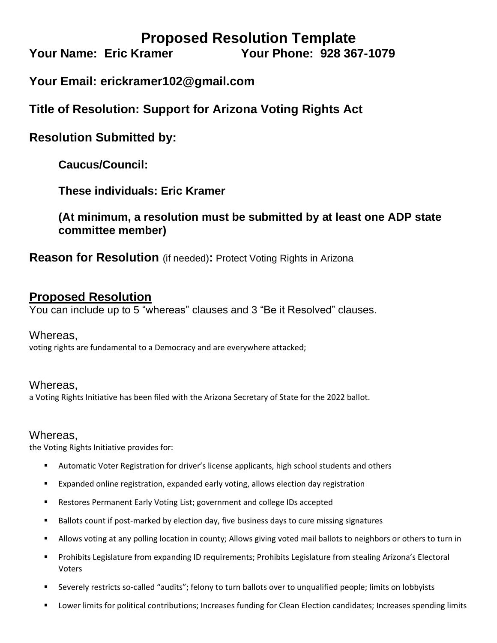# **Proposed Resolution Template**

**Your Name: Eric Kramer Your Phone: 928 367-1079** 

# **Your Email: erickramer102@gmail.com**

**Title of Resolution: Support for Arizona Voting Rights Act**

## **Resolution Submitted by:**

**Caucus/Council:**

**These individuals: Eric Kramer**

**(At minimum, a resolution must be submitted by at least one ADP state committee member)**

**Reason for Resolution** (if needed)**:** Protect Voting Rights in Arizona

### **Proposed Resolution**

You can include up to 5 "whereas" clauses and 3 "Be it Resolved" clauses.

#### Whereas,

voting rights are fundamental to a Democracy and are everywhere attacked;

### Whereas,

a Voting Rights Initiative has been filed with the Arizona Secretary of State for the 2022 ballot.

#### Whereas,

the Voting Rights Initiative provides for:

- Automatic Voter Registration for driver's license applicants, high school students and others
- Expanded online registration, expanded early voting, allows election day registration
- Restores Permanent Early Voting List; government and college IDs accepted
- Ballots count if post-marked by election day, five business days to cure missing signatures
- Allows voting at any polling location in county; Allows giving voted mail ballots to neighbors or others to turn in
- Prohibits Legislature from expanding ID requirements; Prohibits Legislature from stealing Arizona's Electoral Voters
- Severely restricts so-called "audits"; felony to turn ballots over to unqualified people; limits on lobbyists
- Lower limits for political contributions; Increases funding for Clean Election candidates; Increases spending limits